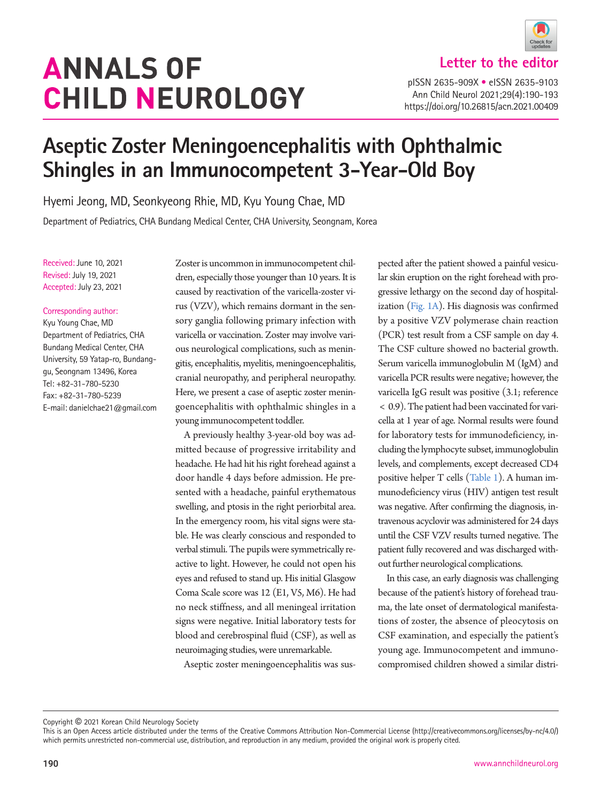# **ANNALS OF CHILD NEUROLOGY**



**Letter to the editor**

pISSN 2635-909X • eISSN 2635-9103 Ann Child Neurol 2021;29(4):190-193 https://doi.org/10.26815/acn.2021.00409

## **Aseptic Zoster Meningoencephalitis with Ophthalmic Shingles in an Immunocompetent 3-Year-Old Boy**

Hyemi Jeong, MD, Seonkyeong Rhie, MD, Kyu Young Chae, MD

Department of Pediatrics, CHA Bundang Medical Center, CHA University, Seongnam, Korea

Received: June 10, 2021 Revised: July 19, 2021 Accepted: July 23, 2021

#### Corresponding author:

Kyu Young Chae, MD Department of Pediatrics, CHA Bundang Medical Center, CHA University, 59 Yatap-ro, Bundanggu, Seongnam 13496, Korea Tel: +82-31-780-5230 Fax: +82-31-780-5239 E-mail: danielchae21@gmail.com

Zoster is uncommon in immunocompetent children, especially those younger than 10 years. It is caused by reactivation of the varicella-zoster virus (VZV), which remains dormant in the sensory ganglia following primary infection with varicella or vaccination. Zoster may involve various neurological complications, such as meningitis, encephalitis, myelitis, meningoencephalitis, cranial neuropathy, and peripheral neuropathy. Here, we present a case of aseptic zoster meningoencephalitis with ophthalmic shingles in a young immunocompetent toddler.

A previously healthy 3-year-old boy was admitted because of progressive irritability and headache. He had hit his right forehead against a door handle 4 days before admission. He presented with a headache, painful erythematous swelling, and ptosis in the right periorbital area. In the emergency room, his vital signs were stable. He was clearly conscious and responded to verbal stimuli. The pupils were symmetrically reactive to light. However, he could not open his eyes and refused to stand up. His initial Glasgow Coma Scale score was 12 (E1, V5, M6). He had no neck stiffness, and all meningeal irritation signs were negative. Initial laboratory tests for blood and cerebrospinal fluid (CSF), as well as neuroimaging studies, were unremarkable.

Aseptic zoster meningoencephalitis was sus-

pected after the patient showed a painful vesicular skin eruption on the right forehead with progressive lethargy on the second day of hospitalization [\(Fig. 1A\)](#page-1-0). His diagnosis was confirmed by a positive VZV polymerase chain reaction (PCR) test result from a CSF sample on day 4. The CSF culture showed no bacterial growth. Serum varicella immunoglobulin M (IgM) and varicella PCR results were negative; however, the varicella IgG result was positive (3.1; reference < 0.9). The patient had been vaccinated for varicella at 1 year of age. Normal results were found for laboratory tests for immunodeficiency, including the lymphocyte subset, immunoglobulin levels, and complements, except decreased CD4 positive helper T cells [\(Table 1](#page-1-1)). A human immunodeficiency virus (HIV) antigen test result was negative. After confirming the diagnosis, intravenous acyclovir was administered for 24 days until the CSF VZV results turned negative. The patient fully recovered and was discharged without further neurological complications.

In this case, an early diagnosis was challenging because of the patient's history of forehead trauma, the late onset of dermatological manifestations of zoster, the absence of pleocytosis on CSF examination, and especially the patient's young age. Immunocompetent and immunocompromised children showed a similar distri-

Copyright © 2021 Korean Child Neurology Society

This is an Open Access article distributed under the terms of the Creative Commons Attribution Non-Commercial License (http://creativecommons.org/licenses/by-nc/4.0/) which permits unrestricted non-commercial use, distribution, and reproduction in any medium, provided the original work is properly cited.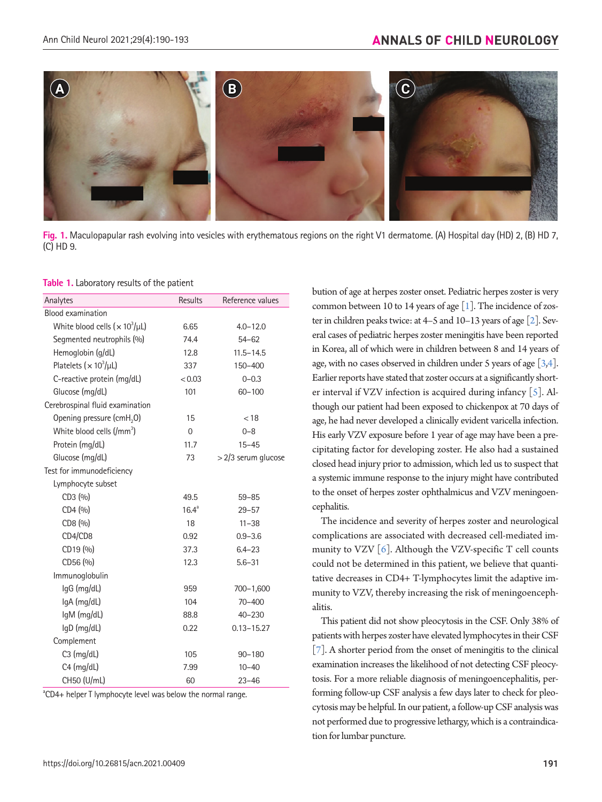<span id="page-1-0"></span>

**Fig. 1.** Maculopapular rash evolving into vesicles with erythematous regions on the right V1 dermatome. (A) Hospital day (HD) 2, (B) HD 7, (C) HD 9.

<span id="page-1-1"></span>**Table 1.** Laboratory results of the patient

| Analytes                              | <b>Results</b>    | Reference values    |
|---------------------------------------|-------------------|---------------------|
| <b>Blood examination</b>              |                   |                     |
| White blood cells $(x 10^3/\mu)$      | 6.65              | $4.0 - 12.0$        |
| Segmented neutrophils (%)             | 74.4              | $54 - 62$           |
| Hemoglobin (g/dL)                     | 12.8              | $11.5 - 14.5$       |
| Platelets ( $\times 10^3/\mu$ L)      | 337               | 150-400             |
| C-reactive protein (mg/dL)            | < 0.03            | $0 - 0.3$           |
| Glucose (mg/dL)                       | 101               | $60 - 100$          |
| Cerebrospinal fluid examination       |                   |                     |
| Opening pressure (cmH <sub>2</sub> O) | 15                | < 18                |
| White blood cells $(lmm3)$            | $\Omega$          | $0 - 8$             |
| Protein (mg/dL)                       | 11.7              | $15 - 45$           |
| Glucose (mg/dL)                       | 73                | > 2/3 serum glucose |
| Test for immunodeficiency             |                   |                     |
| Lymphocyte subset                     |                   |                     |
| CD3 (%)                               | 49.5              | $59 - 85$           |
| CD4 (%)                               | 16.4 <sup>a</sup> | $29 - 57$           |
| CD8 (%)                               | 18                | $11 - 38$           |
| CD4/CD8                               | 0.92              | $0.9 - 3.6$         |
| CD19 (%)                              | 37.3              | $6.4 - 23$          |
| CD56 (%)                              | 12.3              | $5.6 - 31$          |
| Immunoglobulin                        |                   |                     |
| lgG (mg/dL)                           | 959               | $700 - 1,600$       |
| IgA (mg/dL)                           | 104               | $70 - 400$          |
| IgM (mg/dL)                           | 88.8              | $40 - 230$          |
| IgD (mg/dL)                           | 0.22              | $0.13 - 15.27$      |
| Complement                            |                   |                     |
| $C3$ (mg/dL)                          | 105               | $90 - 180$          |
| $C4$ (mg/dL)                          | 7.99              | $10 - 40$           |
| CH50 (U/mL)                           | 60                | $23 - 46$           |

<sup>a</sup>CD4+ helper T lymphocyte level was below the normal range.

bution of age at herpes zoster onset. Pediatric herpes zoster is very common between 10 to 14 years of age  $[1]$ . The incidence of zoster in children peaks twice: at 4–5 and 10–13 years of age [\[2](#page-2-1)]. Several cases of pediatric herpes zoster meningitis have been reported in Korea, all of which were in children between 8 and 14 years of age, with no cases observed in children under 5 years of age [\[3](#page-2-2)[,4\]](#page-2-3). Earlier reports have stated that zoster occurs at a significantly shorter interval if VZV infection is acquired during infancy [\[5](#page-2-4)]. Although our patient had been exposed to chickenpox at 70 days of age, he had never developed a clinically evident varicella infection. His early VZV exposure before 1 year of age may have been a precipitating factor for developing zoster. He also had a sustained closed head injury prior to admission, which led us to suspect that a systemic immune response to the injury might have contributed to the onset of herpes zoster ophthalmicus and VZV meningoencephalitis.

The incidence and severity of herpes zoster and neurological complications are associated with decreased cell-mediated immunity to VZV  $[6]$  $[6]$ . Although the VZV-specific T cell counts could not be determined in this patient, we believe that quantitative decreases in CD4+ T-lymphocytes limit the adaptive immunity to VZV, thereby increasing the risk of meningoencephalitis.

This patient did not show pleocytosis in the CSF. Only 38% of patients with herpes zoster have elevated lymphocytes in their CSF [\[7\]](#page-2-6). A shorter period from the onset of meningitis to the clinical examination increases the likelihood of not detecting CSF pleocytosis. For a more reliable diagnosis of meningoencephalitis, performing follow-up CSF analysis a few days later to check for pleocytosis may be helpful. In our patient, a follow-up CSF analysis was not performed due to progressive lethargy, which is a contraindication for lumbar puncture.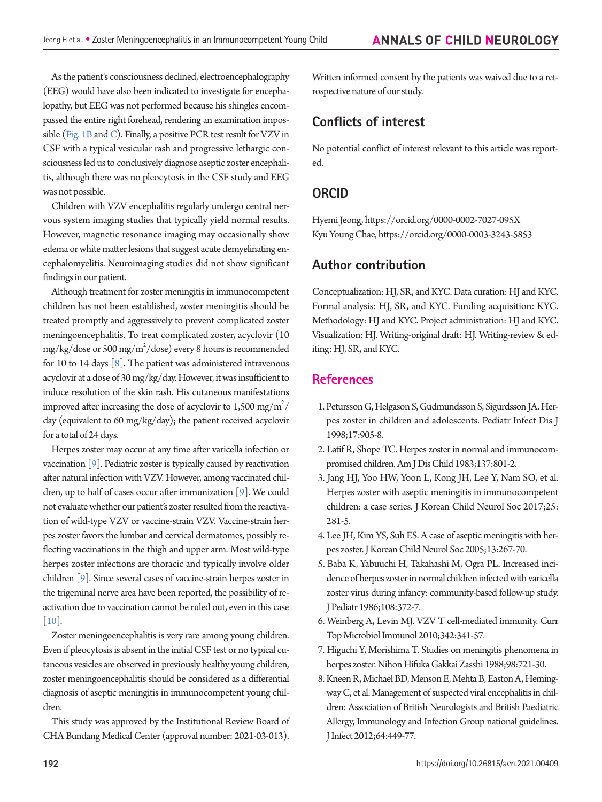As the patient's consciousness declined, electroencephalography (EEG) would have also been indicated to investigate for encephalopathy, but EEG was not performed because his shingles encompassed the entire right forehead, rendering an examination impos-sible [\(Fig. 1B](#page-1-0) and [C](#page-1-0)). Finally, a positive PCR test result for VZV in CSF with a typical vesicular rash and progressive lethargic consciousness led us to conclusively diagnose aseptic zoster encephalitis, although there was no pleocytosis in the CSF study and EEG was not possible.

Children with VZV encephalitis regularly undergo central nervous system imaging studies that typically yield normal results. However, magnetic resonance imaging may occasionally show edema or white matter lesions that suggest acute demyelinating encephalomyelitis. Neuroimaging studies did not show significant findings in our patient.

Although treatment for zoster meningitis in immunocompetent children has not been established, zoster meningitis should be treated promptly and aggressively to prevent complicated zoster meningoencephalitis. To treat complicated zoster, acyclovir (10 mg/kg/dose or 500 mg/m $^2$ /dose) every 8 hours is recommended for 10 to 14 days [\[8](#page-2-7)]. The patient was administered intravenous acyclovir at a dose of 30 mg/kg/day. However, it was insufficient to induce resolution of the skin rash. His cutaneous manifestations improved after increasing the dose of acyclovir to 1,500 mg/m $^2/$ day (equivalent to 60 mg/kg/day); the patient received acyclovir for a total of 24 days.

Herpes zoster may occur at any time after varicella infection or vaccination [\[9](#page-2-5)]. Pediatric zoster is typically caused by reactivation after natural infection with VZV. However, among vaccinated children, up to half of cases occur after immunization [\[9\]](#page-2-5). We could not evaluate whether our patient's zoster resulted from the reactivation of wild-type VZV or vaccine-strain VZV. Vaccine-strain herpes zoster favors the lumbar and cervical dermatomes, possibly reflecting vaccinations in the thigh and upper arm. Most wild-type herpes zoster infections are thoracic and typically involve older children [\[9](#page-2-5)]. Since several cases of vaccine-strain herpes zoster in the trigeminal nerve area have been reported, the possibility of reactivation due to vaccination cannot be ruled out, even in this case [\[10\]](#page-3-0).

Zoster meningoencephalitis is very rare among young children. Even if pleocytosis is absent in the initial CSF test or no typical cutaneous vesicles are observed in previously healthy young children, zoster meningoencephalitis should be considered as a differential diagnosis of aseptic meningitis in immunocompetent young children.

This study was approved by the Institutional Review Board of CHA Bundang Medical Center (approval number: 2021-03-013).

Written informed consent by the patients was waived due to a retrospective nature of our study.

### **Conflicts of interest**

No potential conflict of interest relevant to this article was reported.

#### **ORCID**

Hyemi Jeong, https://orcid.org/0000-0002-7027-095X Kyu Young Chae, https://orcid.org/0000-0003-3243-5853

#### **Author contribution**

Conceptualization: HJ, SR, and KYC. Data curation: HJ and KYC. Formal analysis: HJ, SR, and KYC. Funding acquisition: KYC. Methodology: HJ and KYC. Project administration: HJ and KYC. Visualization: HJ. Writing-original draft: HJ. Writing-review & editing: HJ, SR, and KYC.

#### **References**

- <span id="page-2-0"></span>1. [Petursson G, Helgason S, Gudmundsson S, Sigurdsson JA. Her](https://doi.org/10.1097/00006454-199810000-00011)[pes zoster in children and adolescents. Pediatr Infect Dis J](https://doi.org/10.1097/00006454-199810000-00011)  [1998;17:905-8.](https://doi.org/10.1097/00006454-199810000-00011)
- <span id="page-2-1"></span>2. [Latif R, Shope TC. Herpes zoster in normal and immunocom](https://doi.org/10.1001/archpedi.1983.02140340081021)[promised children. Am J Dis Child 1983;137:801-2.](https://doi.org/10.1001/archpedi.1983.02140340081021)
- <span id="page-2-2"></span>[3. Jang HJ, Yoo HW, Yoon L, Kong JH, Lee Y, Nam SO, et al.](https://doi.org/10.26815/jkcns.2017.25.4.281)  [Herpes zoster with aseptic meningitis in immunocompetent](https://doi.org/10.26815/jkcns.2017.25.4.281)  [children: a case series. J Korean Child Neurol Soc 2017;25:](https://doi.org/10.26815/jkcns.2017.25.4.281) [281-5](https://doi.org/10.26815/jkcns.2017.25.4.281).
- <span id="page-2-3"></span>4. Lee JH, Kim YS, Suh ES. A case of aseptic meningitis with herpes zoster. J Korean Child Neurol Soc 2005;13:267-70.
- <span id="page-2-4"></span>[5. Baba K, Yabuuchi H, Takahashi M, Ogra PL. Increased inci](https://doi.org/10.1016/s0022-3476(86)80875-7)[dence of herpes zoster in normal children infected with varicella](https://doi.org/10.1016/s0022-3476(86)80875-7)  [zoster virus during infancy: community-based follow-up study.](https://doi.org/10.1016/s0022-3476(86)80875-7)  [J Pediatr 1986;108:372-7.](https://doi.org/10.1016/s0022-3476(86)80875-7)
- <span id="page-2-5"></span>6. Weinbe[rg A, Levin MJ. VZV T cell-mediated immunity. Curr](https://doi.org/10.1007/82_2010_31)  [Top Microbiol Immunol 2010;342:341-57.](https://doi.org/10.1007/82_2010_31)
- <span id="page-2-6"></span>[7. Higuchi Y, Morishima T. Studies on meningitis phenomena in](https://www.ncbi.nlm.nih.gov/pubmed/2854865)  [herpes zoster. Nihon Hifuka Gakkai Zasshi 1988;98:721-30.](https://www.ncbi.nlm.nih.gov/pubmed/2854865)
- <span id="page-2-7"></span>[8. Kneen R, Michael BD, Menson E, Mehta B, Easton A, Heming](https://doi.org/10.1016/j.jinf.2011.11.013)[way C, et al. Management of suspected viral encephalitis in chil](https://doi.org/10.1016/j.jinf.2011.11.013)[dren: Association of British Neurologists and British Paediatric](https://doi.org/10.1016/j.jinf.2011.11.013)  [Allergy, Immunology and Infection Group nationa](https://doi.org/10.1016/j.jinf.2011.11.013)l guidelines. J Infect 2012;64:449-77.